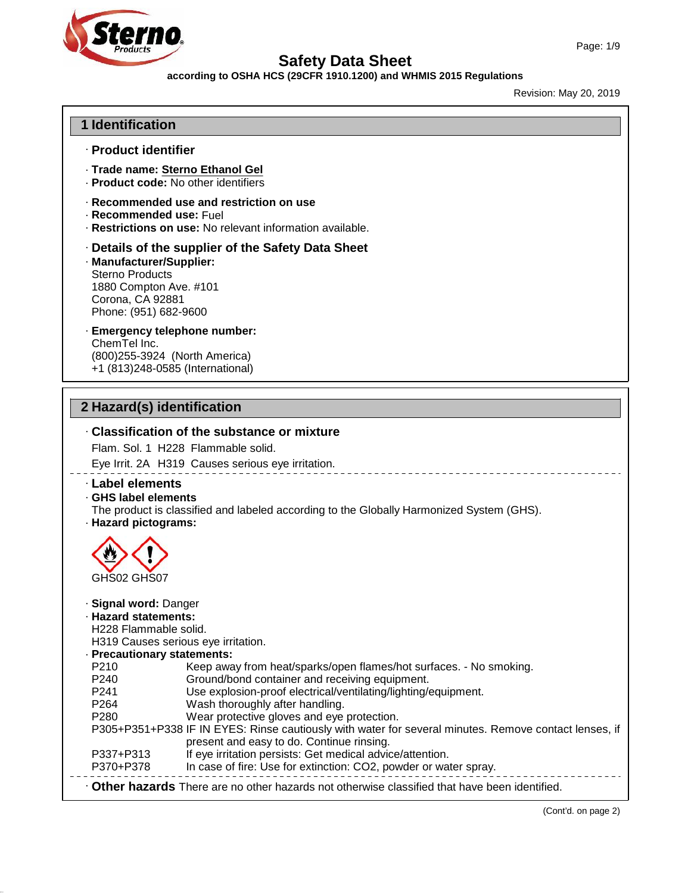



#### **according to OSHA HCS (29CFR 1910.1200) and WHMIS 2015 Regulations**

Revision: May 20, 2019

#### **1 Identification**

#### · **Product identifier**

- · **Trade name: Sterno Ethanol Gel**
- · **Product code:** No other identifiers
- · **Recommended use and restriction on use**
- · **Recommended use:** Fuel
- · **Restrictions on use:** No relevant information available.
- · **Details of the supplier of the Safety Data Sheet**
- · **Manufacturer/Supplier:** Sterno Products 1880 Compton Ave. #101 Corona, CA 92881 Phone: (951) 682-9600

#### · **Emergency telephone number:** ChemTel Inc. (800)255-3924 (North America) +1 (813)248-0585 (International)

### **2 Hazard(s) identification**

49.0.14

### · **Classification of the substance or mixture** Flam. Sol. 1 H228 Flammable solid. Eye Irrit. 2A H319 Causes serious eye irritation. · **Label elements** · **GHS label elements** The product is classified and labeled according to the Globally Harmonized System (GHS). · **Hazard pictograms:** GHS02 GHS07 · **Signal word:** Danger · **Hazard statements:** H228 Flammable solid. H319 Causes serious eye irritation. · **Precautionary statements:** P210 Keep away from heat/sparks/open flames/hot surfaces. - No smoking.<br>P240 Ground/bond container and receiving equipment. P240 Ground/bond container and receiving equipment.<br>P241 Use explosion-proof electrical/ventilating/lighting/ Use explosion-proof electrical/ventilating/lighting/equipment. P264 Wash thoroughly after handling. P280 Wear protective gloves and eye protection. P305+P351+P338 IF IN EYES: Rinse cautiously with water for several minutes. Remove contact lenses, if present and easy to do. Continue rinsing. P337+P313 If eye irritation persists: Get medical advice/attention.<br>P370+P378 In case of fire: Use for extinction: CO2. powder or waterly In case of fire: Use for extinction: CO2, powder or water spray. · **Other hazards** There are no other hazards nototherwise classified that have been identified.

(Cont'd. on page 2)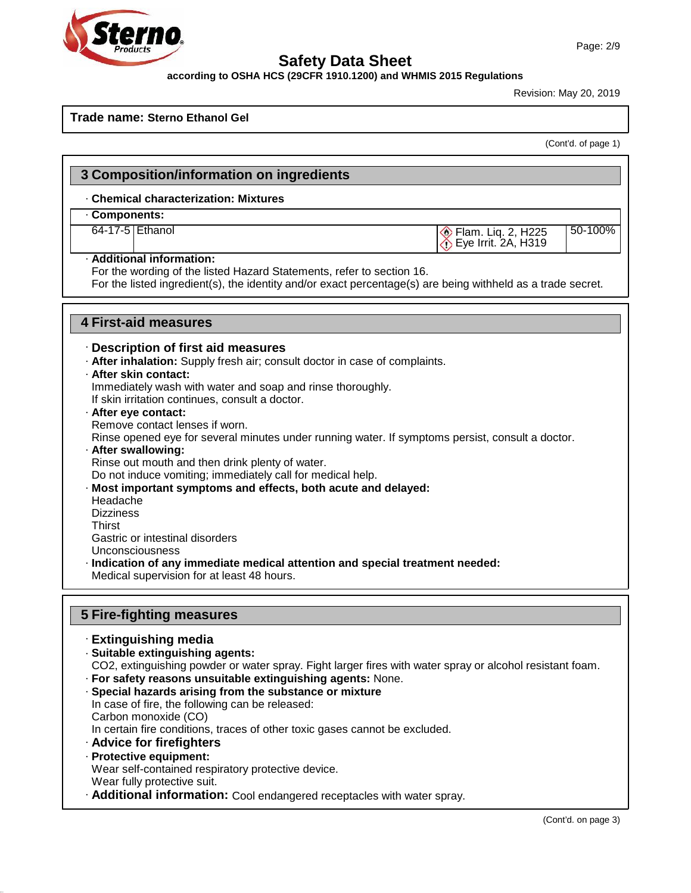## Ster И O

49.0.14

### **Safety Data Sheet**

#### **according to OSHA HCS (29CFR 1910.1200) and WHMIS 2015 Regulations**

Revision: May 20, 2019

#### **Trade name: Sterno Ethanol Gel**

(Cont'd. of page 1)

| . Chemical characterization: Mixtures                                                                                                                                                                                                                                                                                                                                                                                                                                   |                                                      |         |
|-------------------------------------------------------------------------------------------------------------------------------------------------------------------------------------------------------------------------------------------------------------------------------------------------------------------------------------------------------------------------------------------------------------------------------------------------------------------------|------------------------------------------------------|---------|
| Components:                                                                                                                                                                                                                                                                                                                                                                                                                                                             |                                                      |         |
| 64-17-5 Ethanol                                                                                                                                                                                                                                                                                                                                                                                                                                                         | Flam. Liq. 2, H225<br>$\bigcirc$ Eye Irrit. 2A, H319 | 50-100% |
| · Additional information:<br>For the wording of the listed Hazard Statements, refer to section 16.<br>For the listed ingredient(s), the identity and/or exact percentage(s) are being withheld as a trade secret.                                                                                                                                                                                                                                                       |                                                      |         |
| <b>4 First-aid measures</b>                                                                                                                                                                                                                                                                                                                                                                                                                                             |                                                      |         |
| · Description of first aid measures                                                                                                                                                                                                                                                                                                                                                                                                                                     |                                                      |         |
| . After inhalation: Supply fresh air; consult doctor in case of complaints.                                                                                                                                                                                                                                                                                                                                                                                             |                                                      |         |
| · After skin contact:                                                                                                                                                                                                                                                                                                                                                                                                                                                   |                                                      |         |
| Immediately wash with water and soap and rinse thoroughly.                                                                                                                                                                                                                                                                                                                                                                                                              |                                                      |         |
| If skin irritation continues, consult a doctor.                                                                                                                                                                                                                                                                                                                                                                                                                         |                                                      |         |
| · After eye contact:                                                                                                                                                                                                                                                                                                                                                                                                                                                    |                                                      |         |
| Remove contact lenses if worn.                                                                                                                                                                                                                                                                                                                                                                                                                                          |                                                      |         |
| Rinse opened eye for several minutes under running water. If symptoms persist, consult a doctor.<br>· After swallowing:                                                                                                                                                                                                                                                                                                                                                 |                                                      |         |
| Rinse out mouth and then drink plenty of water.                                                                                                                                                                                                                                                                                                                                                                                                                         |                                                      |         |
| Do not induce vomiting; immediately call for medical help.                                                                                                                                                                                                                                                                                                                                                                                                              |                                                      |         |
| · Most important symptoms and effects, both acute and delayed:                                                                                                                                                                                                                                                                                                                                                                                                          |                                                      |         |
| Headache                                                                                                                                                                                                                                                                                                                                                                                                                                                                |                                                      |         |
|                                                                                                                                                                                                                                                                                                                                                                                                                                                                         |                                                      |         |
|                                                                                                                                                                                                                                                                                                                                                                                                                                                                         |                                                      |         |
|                                                                                                                                                                                                                                                                                                                                                                                                                                                                         |                                                      |         |
|                                                                                                                                                                                                                                                                                                                                                                                                                                                                         |                                                      |         |
|                                                                                                                                                                                                                                                                                                                                                                                                                                                                         |                                                      |         |
|                                                                                                                                                                                                                                                                                                                                                                                                                                                                         |                                                      |         |
|                                                                                                                                                                                                                                                                                                                                                                                                                                                                         |                                                      |         |
|                                                                                                                                                                                                                                                                                                                                                                                                                                                                         |                                                      |         |
|                                                                                                                                                                                                                                                                                                                                                                                                                                                                         |                                                      |         |
|                                                                                                                                                                                                                                                                                                                                                                                                                                                                         |                                                      |         |
|                                                                                                                                                                                                                                                                                                                                                                                                                                                                         |                                                      |         |
|                                                                                                                                                                                                                                                                                                                                                                                                                                                                         |                                                      |         |
|                                                                                                                                                                                                                                                                                                                                                                                                                                                                         |                                                      |         |
|                                                                                                                                                                                                                                                                                                                                                                                                                                                                         |                                                      |         |
|                                                                                                                                                                                                                                                                                                                                                                                                                                                                         |                                                      |         |
| <b>Dizziness</b><br>Thirst<br>Medical supervision for at least 48 hours.<br>CO2, extinguishing powder or water spray. Fight larger fires with water spray or alcohol resistant foam.<br>In case of fire, the following can be released:<br>Carbon monoxide (CO)                                                                                                                                                                                                         |                                                      |         |
| Gastric or intestinal disorders<br>Unconsciousness<br>· Indication of any immediate medical attention and special treatment needed:<br><b>5 Fire-fighting measures</b><br>· Extinguishing media<br>· Suitable extinguishing agents:<br>· For safety reasons unsuitable extinguishing agents: None.<br>Special hazards arising from the substance or mixture<br>In certain fire conditions, traces of other toxic gases cannot be excluded.<br>· Advice for firefighters |                                                      |         |
| · Protective equipment:                                                                                                                                                                                                                                                                                                                                                                                                                                                 |                                                      |         |
| Wear self-contained respiratory protective device.                                                                                                                                                                                                                                                                                                                                                                                                                      |                                                      |         |
| Wear fully protective suit.<br>· Additional information: Cool endangered receptacles with water spray.                                                                                                                                                                                                                                                                                                                                                                  |                                                      |         |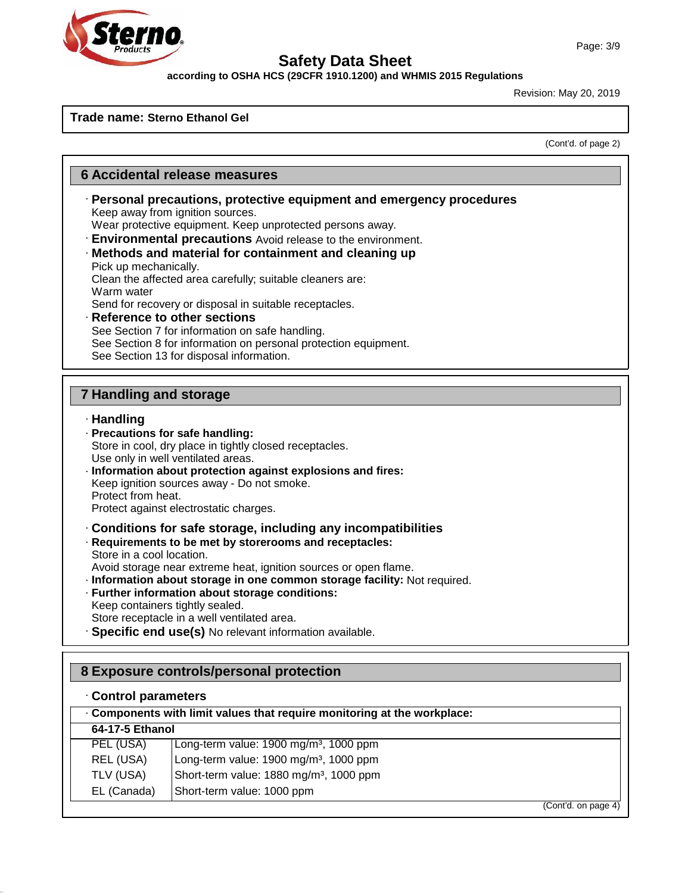

**according to OSHA HCS (29CFR 1910.1200) and WHMIS 2015 Regulations**

Revision: May 20, 2019

#### **Trade name: Sterno Ethanol Gel**

(Cont'd. of page 2)

#### **6 Accidental release measures**

· **Personal precautions, protective equipment and emergency procedures** Keep away from ignition sources.

Wear protective equipment. Keep unprotected persons away.

- · **Environmental precautions** Avoid release to the environment.
- · **Methods and material for containment and cleaning up**

Pick up mechanically. Clean the affected area carefully; suitable cleaners are: Warm water

Send for recovery or disposal in suitable receptacles.

· **Reference to other sections** See Section 7 for information on safe handling. See Section 8 for information on personal protection equipment. See Section 13 for disposal information.

#### **7 Handling and storage**

#### · **Handling**

- · **Precautions for safe handling:** Store in cool, dry place in tightly closed receptacles. Use only in well ventilated areas. · **Information about protection against explosions and fires:** Keep ignition sources away - Do not smoke. Protect from heat. Protect against electrostatic charges. · **Conditions for safe storage, including any incompatibilities** · **Requirements to be met by storerooms and receptacles:** Store in a cool location. Avoid storage near extreme heat, ignition sources or open flame. · **Information about storage in one common storage facility:** Not required. · **Further information about storage conditions:** Keep containers tightly sealed. Store receptacle in a well ventilated area.
- · **Specific end use(s)** No relevant information available.

#### **8 Exposure controls/personal protection**

#### · **Control parameters**

49.0.14

|                 | . Components with limit values that require monitoring at the workplace: |                     |
|-----------------|--------------------------------------------------------------------------|---------------------|
| 64-17-5 Ethanol |                                                                          |                     |
| PEL (USA)       | Long-term value: $1900 \text{ mg/m}^3$ , $1000 \text{ ppm}$              |                     |
| REL (USA)       | Long-term value: 1900 mg/m <sup>3</sup> , 1000 ppm                       |                     |
| TLV (USA)       | Short-term value: 1880 mg/m <sup>3</sup> , 1000 ppm                      |                     |
| EL (Canada)     | Short-term value: 1000 ppm                                               |                     |
|                 |                                                                          | (Cont'd. on page 4) |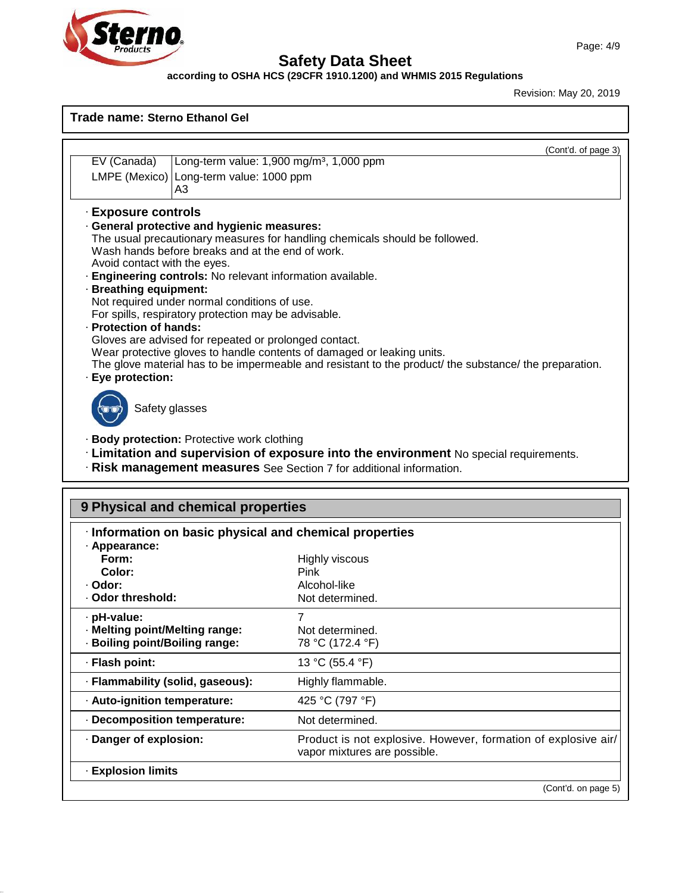



49.0.14

### **Safety Data Sheet**

#### **according to OSHA HCS (29CFR 1910.1200) and WHMIS 2015 Regulations**

Revision: May 20, 2019

|                              | (Cont'd. of page 3)                                                                                    |
|------------------------------|--------------------------------------------------------------------------------------------------------|
| EV (Canada)                  | Long-term value: 1,900 mg/m <sup>3</sup> , 1,000 ppm                                                   |
|                              | LMPE (Mexico)   Long-term value: 1000 ppm<br>A3                                                        |
| · Exposure controls          |                                                                                                        |
|                              | General protective and hygienic measures:                                                              |
|                              | The usual precautionary measures for handling chemicals should be followed.                            |
|                              | Wash hands before breaks and at the end of work.                                                       |
| Avoid contact with the eyes. |                                                                                                        |
|                              | · Engineering controls: No relevant information available.                                             |
| · Breathing equipment:       |                                                                                                        |
|                              |                                                                                                        |
|                              | Not required under normal conditions of use.                                                           |
|                              | For spills, respiratory protection may be advisable.                                                   |
|                              |                                                                                                        |
|                              | Gloves are advised for repeated or prolonged contact.                                                  |
|                              | Wear protective gloves to handle contents of damaged or leaking units.                                 |
| · Protection of hands:       | The glove material has to be impermeable and resistant to the product/ the substance/ the preparation. |
| · Eye protection:            |                                                                                                        |

· **Limitation and supervision of exposure into the environment** No special requirements.

· **Risk management measures** See Section 7 for additional information.

| · Information on basic physical and chemical properties |                                                                                                |
|---------------------------------------------------------|------------------------------------------------------------------------------------------------|
| · Appearance:                                           |                                                                                                |
| Form:                                                   | <b>Highly viscous</b>                                                                          |
| Color:                                                  | Pink                                                                                           |
| · Odor:                                                 | Alcohol-like                                                                                   |
| Odor threshold:                                         | Not determined.                                                                                |
| · pH-value:                                             | 7                                                                                              |
| · Melting point/Melting range:                          | Not determined.                                                                                |
| · Boiling point/Boiling range:                          | 78 °C (172.4 °F)                                                                               |
| · Flash point:                                          | 13 °C (55.4 °F)                                                                                |
| · Flammability (solid, gaseous):                        | Highly flammable.                                                                              |
| · Auto-ignition temperature:                            | 425 °C (797 °F)                                                                                |
| Decomposition temperature:                              | Not determined.                                                                                |
| Danger of explosion:                                    | Product is not explosive. However, formation of explosive air/<br>vapor mixtures are possible. |
| <b>Explosion limits</b>                                 |                                                                                                |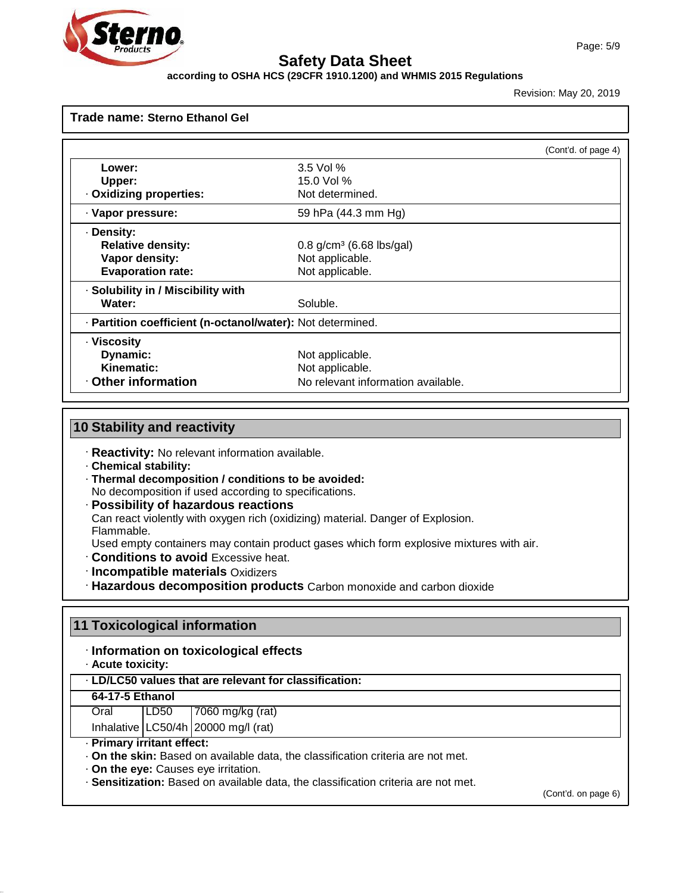

#### **according to OSHA HCS (29CFR 1910.1200) and WHMIS 2015 Regulations**

Revision: May 20, 2019

| Trade name: Sterno Ethanol Gel                             |                                        |                     |
|------------------------------------------------------------|----------------------------------------|---------------------|
|                                                            |                                        | (Cont'd. of page 4) |
| Lower:                                                     | $3.5$ Vol %                            |                     |
| Upper:                                                     | 15.0 Vol %                             |                     |
| . Oxidizing properties:                                    | Not determined.                        |                     |
| · Vapor pressure:                                          | 59 hPa (44.3 mm Hg)                    |                     |
| · Density:                                                 |                                        |                     |
| <b>Relative density:</b>                                   | $0.8$ g/cm <sup>3</sup> (6.68 lbs/gal) |                     |
| Vapor density:                                             | Not applicable.                        |                     |
| <b>Evaporation rate:</b>                                   | Not applicable.                        |                     |
| · Solubility in / Miscibility with                         |                                        |                     |
| Water:                                                     | Soluble.                               |                     |
| · Partition coefficient (n-octanol/water): Not determined. |                                        |                     |
| · Viscosity                                                |                                        |                     |
| Dynamic:                                                   | Not applicable.                        |                     |
| <b>Kinematic:</b>                                          | Not applicable.                        |                     |
| Other information                                          | No relevant information available.     |                     |

### **10 Stability and reactivity**

- · **Reactivity:** No relevant information available.
- · **Chemical stability:**

49.0.14

- · **Thermal decomposition / conditions to be avoided:** No decomposition if used according to specifications.
- · **Possibility of hazardous reactions** Can react violently with oxygen rich (oxidizing) material. Danger of Explosion. Flammable.
- Used empty containers may contain product gases which form explosive mixtures with air.
- · **Conditions to avoid** Excessive heat.
- · **Incompatible materials** Oxidizers
- · **Hazardous decomposition products** Carbon monoxide and carbon dioxide

| 11 Toxicological information<br>· Information on toxicological effects<br>· Acute toxicity: |        |                                                                                    |                     |
|---------------------------------------------------------------------------------------------|--------|------------------------------------------------------------------------------------|---------------------|
|                                                                                             |        | . LD/LC50 values that are relevant for classification:                             |                     |
| 64-17-5 Ethanol                                                                             |        |                                                                                    |                     |
| Oral                                                                                        | l LD50 | 7060 mg/kg $(\text{rat})$                                                          |                     |
|                                                                                             |        | Inhalative $\lfloor$ LC50/4h $\rfloor$ 20000 mg/l (rat)                            |                     |
| · Primary irritant effect:                                                                  |        |                                                                                    |                     |
|                                                                                             |        | . On the skin: Based on available data, the classification criteria are not met.   |                     |
|                                                                                             |        | . On the eye: Causes eye irritation.                                               |                     |
|                                                                                             |        | · Sensitization: Based on available data, the classification criteria are not met. |                     |
|                                                                                             |        |                                                                                    | (Cont'd. on page 6) |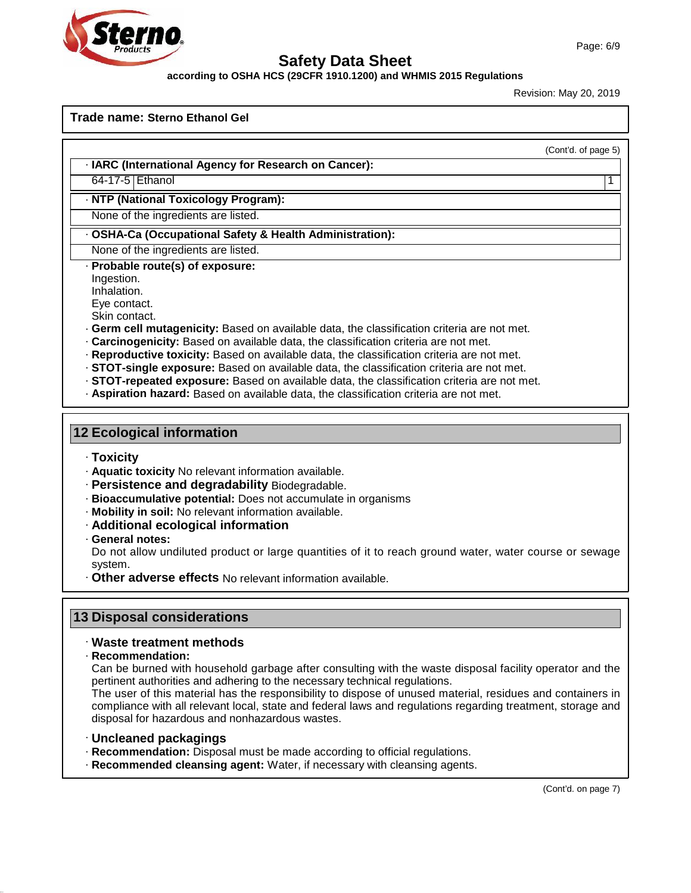

**according to OSHA HCS (29CFR 1910.1200) and WHMIS 2015 Regulations**

Revision: May 20, 2019

**Trade name: Sterno Ethanol Gel**

(Cont'd. of page 5)

· **IARC (International Agency for Research on Cancer):**

64-17-5 Ethanol 1

· **NTP (National Toxicology Program):**

None of the ingredients are listed.

· **OSHA-Ca (Occupational Safety & Health Administration):**

None of the ingredients are listed.

- · **Probable route(s) of exposure:**
- Ingestion.
- Inhalation.
- Eye contact. Skin contact.
- 
- · **Germ cell mutagenicity:** Based on available data, the classification criteria are not met.
- · **Carcinogenicity:** Based on available data, the classification criteria are not met.
- · **Reproductive toxicity:** Based on available data, the classification criteria are not met.
- · **STOT-single exposure:** Based on available data, the classification criteria are not met.
- · **STOT-repeated exposure:** Based on available data, the classification criteria are not met.
- · **Aspiration hazard:** Based on available data, the classification criteria are not met.

#### **12 Ecological information**

- · **Toxicity**
- · **Aquatic toxicity** No relevant information available.
- · **Persistence and degradability** Biodegradable.
- · **Bioaccumulative potential:** Does notaccumulate in organisms
- · **Mobility in soil:** No relevant information available.
- · **Additional ecological information**
- · **General notes:**

Do not allow undiluted product or large quantities of it to reach ground water, water course or sewage system.

· **Other adverse effects** No relevant information available.

#### **13 Disposal considerations**

#### · **Waste treatment methods**

· **Recommendation:**

49.0.14

Can be burned with household garbage after consulting with the waste disposal facility operator and the pertinent authorities and adhering to the necessary technical regulations.

The user of this material has the responsibility to dispose of unused material, residues and containers in compliance with all relevant local, state and federal laws and regulations regarding treatment, storage and disposal for hazardous and nonhazardous wastes.

- · **Uncleaned packagings**
- · **Recommendation:** Disposal must be made according to official regulations.
- · **Recommended cleansing agent:** Water, if necessary with cleansing agents.

(Cont'd. on page 7)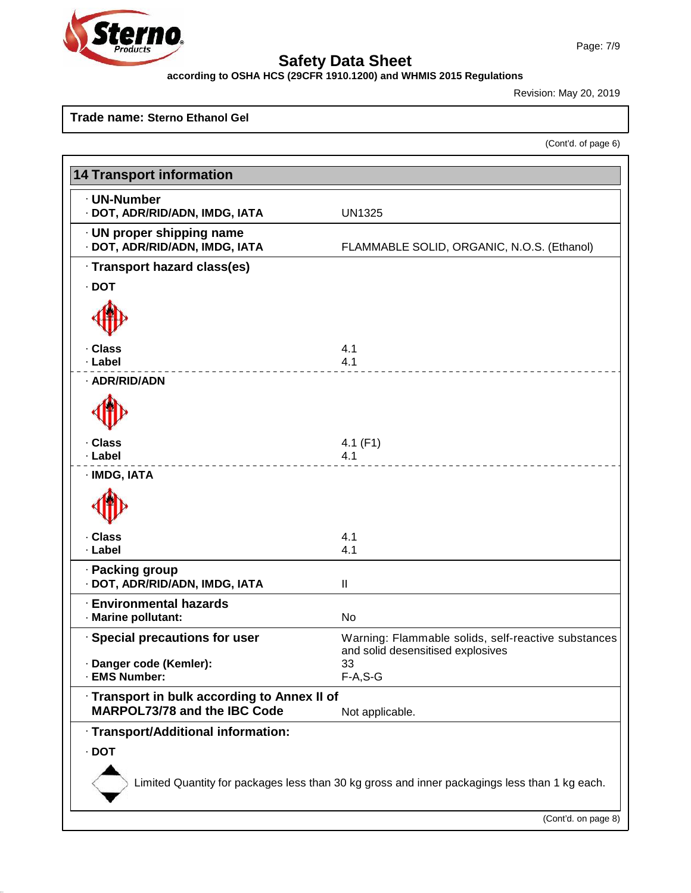# **Ster** O

49.0.14

### **Safety Data Sheet**

**according to OSHA HCS (29CFR 1910.1200) and WHMIS 2015 Regulations**

Revision: May 20, 2019

#### **Trade name: Sterno Ethanol Gel**

(Cont'd. of page 6)

| <b>14 Transport information</b>                                              |                                                                                               |
|------------------------------------------------------------------------------|-----------------------------------------------------------------------------------------------|
|                                                                              |                                                                                               |
| · UN-Number<br>· DOT, ADR/RID/ADN, IMDG, IATA                                | <b>UN1325</b>                                                                                 |
| $\cdot$ UN proper shipping name<br>· DOT, ADR/RID/ADN, IMDG, IATA            | FLAMMABLE SOLID, ORGANIC, N.O.S. (Ethanol)                                                    |
| · Transport hazard class(es)                                                 |                                                                                               |
| $\cdot$ DOT                                                                  |                                                                                               |
|                                                                              |                                                                                               |
| · Class                                                                      | 4.1                                                                                           |
| · Label                                                                      | 4.1                                                                                           |
| · ADR/RID/ADN                                                                |                                                                                               |
|                                                                              |                                                                                               |
| · Class                                                                      | 4.1 $(F1)$                                                                                    |
| · Label                                                                      | 4.1                                                                                           |
| · IMDG, IATA                                                                 |                                                                                               |
| · Class                                                                      | 4.1                                                                                           |
| · Label                                                                      | 4.1                                                                                           |
| · Packing group<br>· DOT, ADR/RID/ADN, IMDG, IATA                            | $\mathbf{I}$                                                                                  |
| <b>Environmental hazards</b>                                                 |                                                                                               |
| · Marine pollutant:                                                          | <b>No</b>                                                                                     |
| · Special precautions for user                                               | Warning: Flammable solids, self-reactive substances<br>and solid desensitised explosives      |
| Danger code (Kemler):<br>· EMS Number:                                       | 33<br>$F-A, S-G$                                                                              |
| · Transport in bulk according to Annex II of<br>MARPOL73/78 and the IBC Code | Not applicable.                                                                               |
| · Transport/Additional information:                                          |                                                                                               |
| $\cdot$ DOT                                                                  |                                                                                               |
|                                                                              |                                                                                               |
|                                                                              | Limited Quantity for packages less than 30 kg gross and inner packagings less than 1 kg each. |
|                                                                              |                                                                                               |
|                                                                              | (Cont'd. on page 8)                                                                           |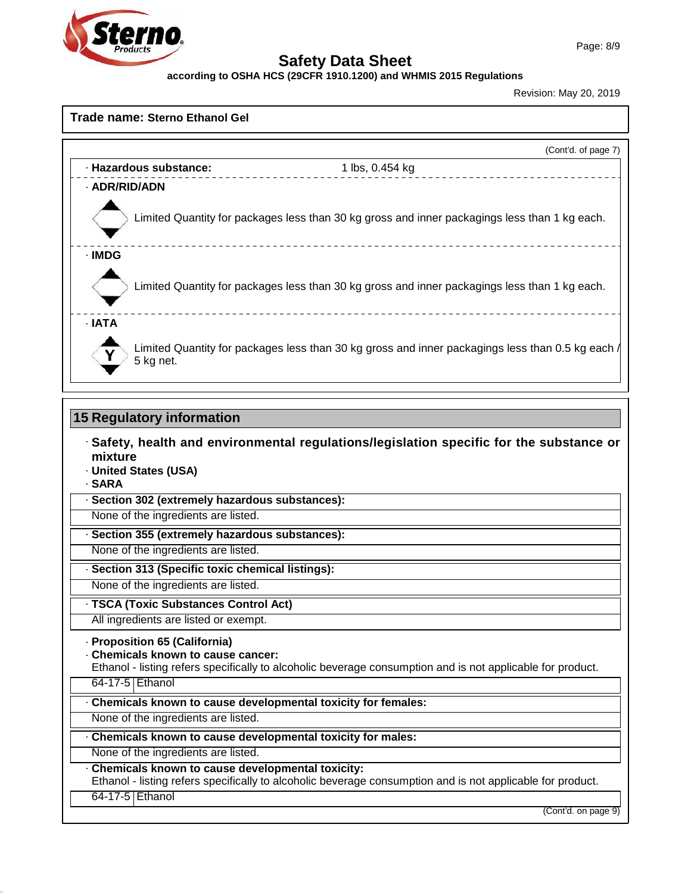

**according to OSHA HCS (29CFR 1910.1200) and WHMIS 2015 Regulations**

Revision: May 20, 2019

#### **Trade name: Sterno Ethanol Gel**

|                        |                                                                                                  | (Cont'd. of page 7) |
|------------------------|--------------------------------------------------------------------------------------------------|---------------------|
| · Hazardous substance: | 1 lbs, 0.454 kg                                                                                  |                     |
| · ADR/RID/ADN          |                                                                                                  |                     |
|                        | Limited Quantity for packages less than 30 kg gross and inner packagings less than 1 kg each.    |                     |
| · IMDG                 |                                                                                                  |                     |
|                        | Limited Quantity for packages less than 30 kg gross and inner packagings less than 1 kg each.    |                     |
| · IATA                 |                                                                                                  |                     |
| 5 kg net.              | Limited Quantity for packages less than 30 kg gross and inner packagings less than 0.5 kg each / |                     |

#### **15 Regulatory information**

- · **Safety, health and environmental regulations/legislation specific for the substance or mixture**
- · **United States (USA)**
- · **SARA**

49.0.14

· **Section 302 (extremely hazardous substances):**

None of the ingredients are listed.

· **Section 355 (extremely hazardous substances):**

None of the ingredients are listed.

· **Section 313 (Specific toxic chemical listings):**

None of the ingredients are listed.

· **TSCA (Toxic Substances Control Act)**

All ingredients are listed or exempt.

· **Proposition 65 (California)**

· **Chemicals known to cause cancer:**

Ethanol - listing refers specifically to alcoholic beverage consumption and is notapplicable for product. 64-17-5 Ethanol

· **Chemicals known to cause developmental toxicity for females:** None of the ingredients are listed. · **Chemicals known to cause developmental toxicity for males:** None of the ingredients are listed. · **Chemicals known to cause developmental toxicity:** Ethanol - listing refers specifically to alcoholic beverage consumption and is notapplicable for product.

64-17-5 Ethanol

(Cont'd. on page 9)